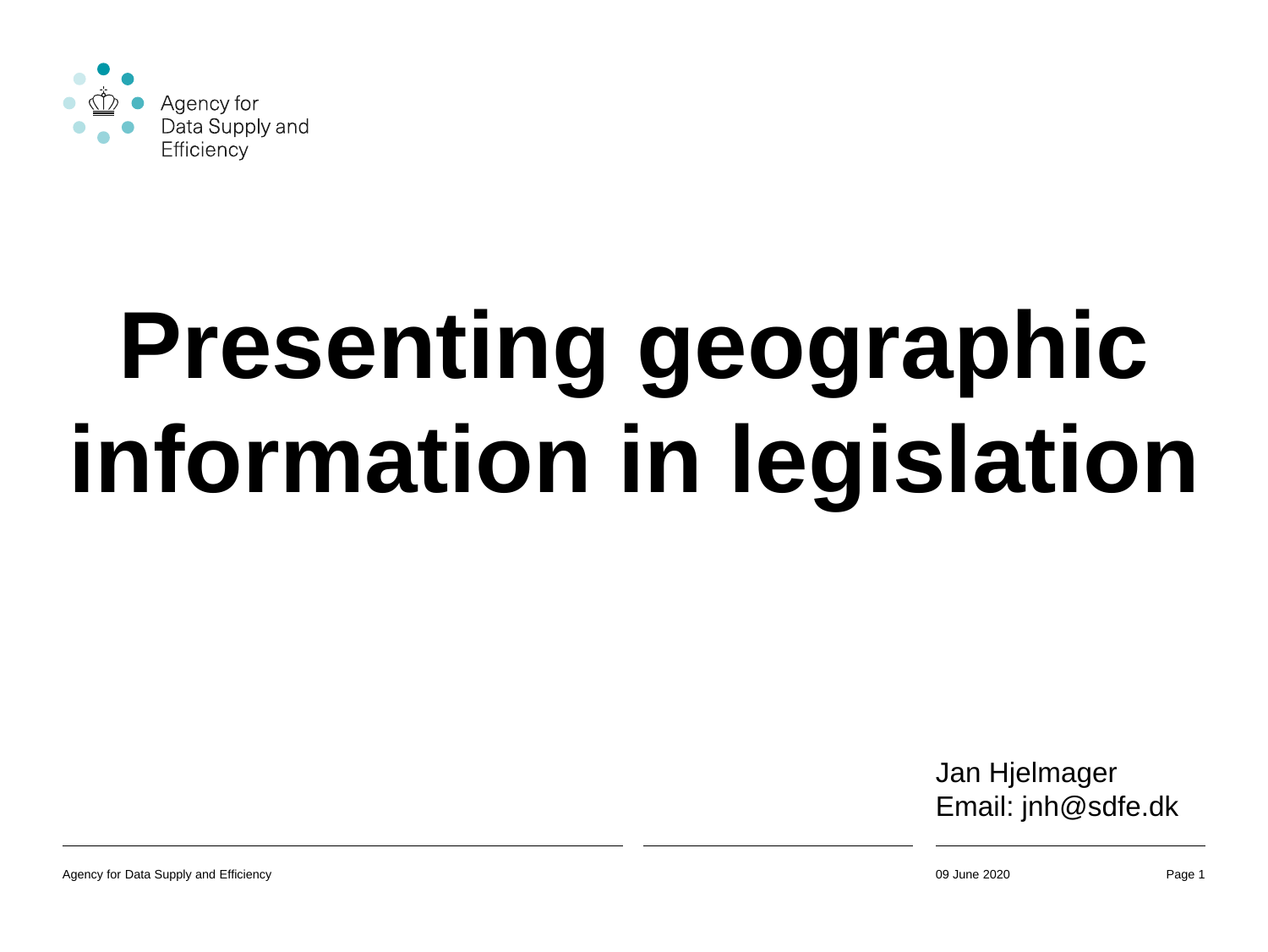

# **Presenting geographic information in legislation**

Jan Hjelmager Email: jnh@sdfe.dk

Agency for Data Supply and Efficiency **Page 1 Page 1 Page 1 Page 1 Page 1 Page 1 Page 1 Page 1 Page 1**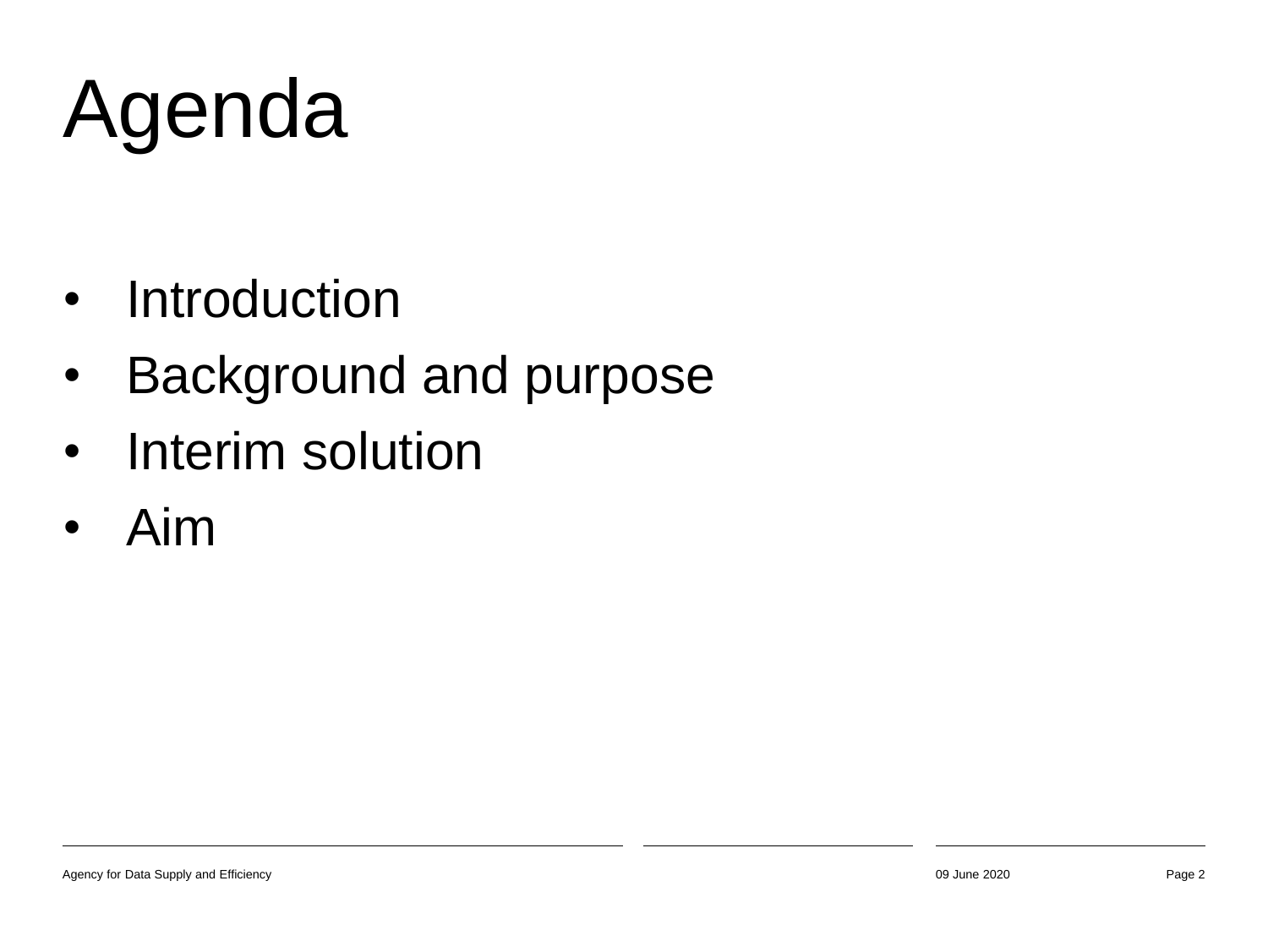# Agenda

- Introduction
- Background and purpose
- Interim solution
- Aim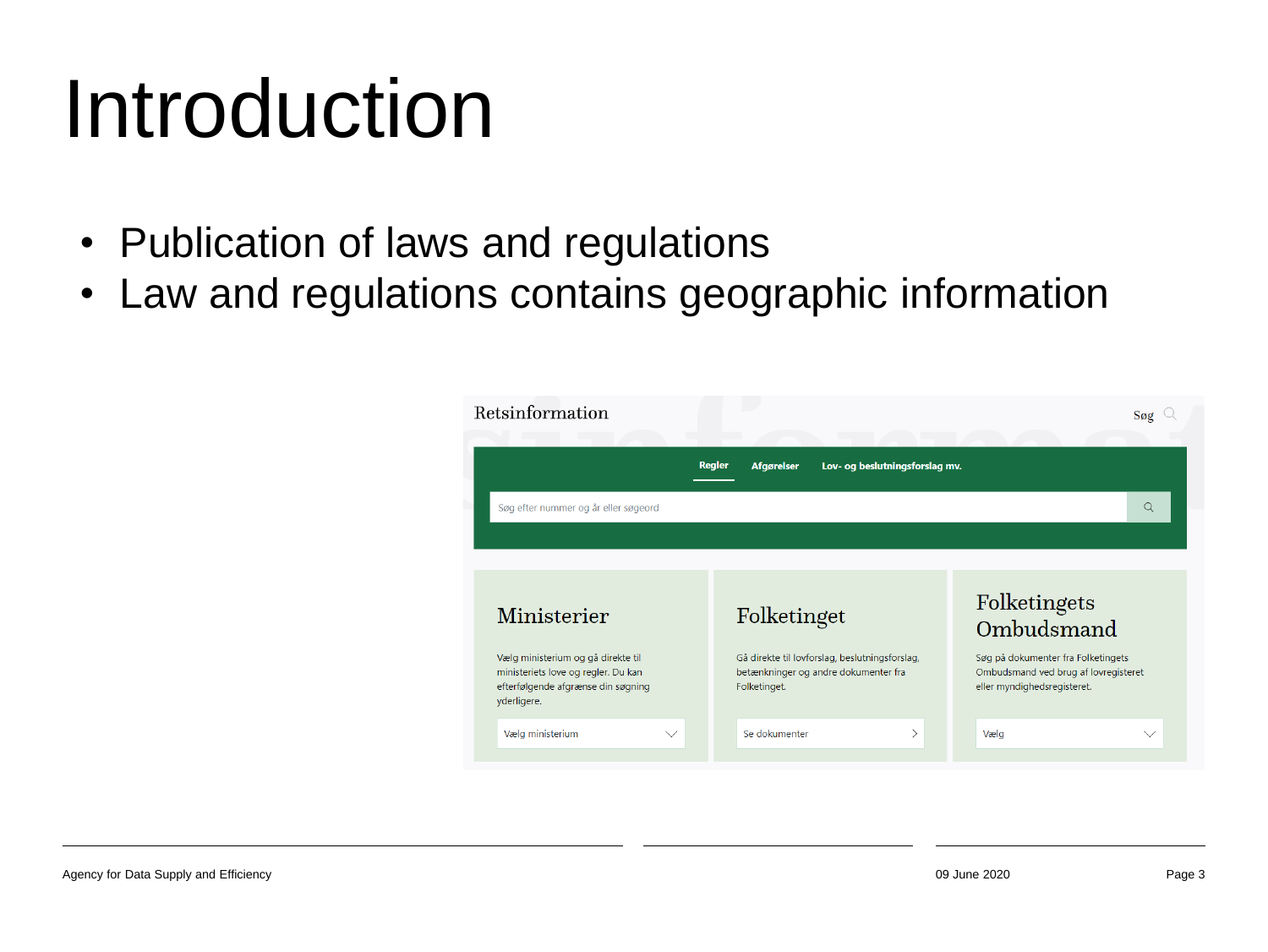#### Introduction

- Publication of laws and regulations
- Law and regulations contains geographic information

| Retsinformation                                                                                                                |                                                                                                        | Søg                                                                                                       |
|--------------------------------------------------------------------------------------------------------------------------------|--------------------------------------------------------------------------------------------------------|-----------------------------------------------------------------------------------------------------------|
|                                                                                                                                | <b>Regler</b><br><b>Afgørelser</b><br>Lov- og beslutningsforslag mv.                                   |                                                                                                           |
| Søg efter nummer og år eller søgeord                                                                                           |                                                                                                        | Q                                                                                                         |
|                                                                                                                                |                                                                                                        |                                                                                                           |
|                                                                                                                                |                                                                                                        |                                                                                                           |
| Ministerier                                                                                                                    | Folketinget                                                                                            | Folketingets<br>Ombudsmand                                                                                |
| Vælg ministerium og gå direkte til<br>ministeriets love og regler. Du kan<br>efterfølgende afgrænse din søgning<br>yderligere. | Gå direkte til lovforslag, beslutningsforslag,<br>betænkninger og andre dokumenter fra<br>Folketinget. | Søg på dokumenter fra Folketingets<br>Ombudsmand ved brug af lovregisteret<br>eller myndighedsregisteret. |
| Vælg ministerium<br>$\checkmark$                                                                                               | Se dokumenter<br>⋋                                                                                     | Vælg<br>$\checkmark$                                                                                      |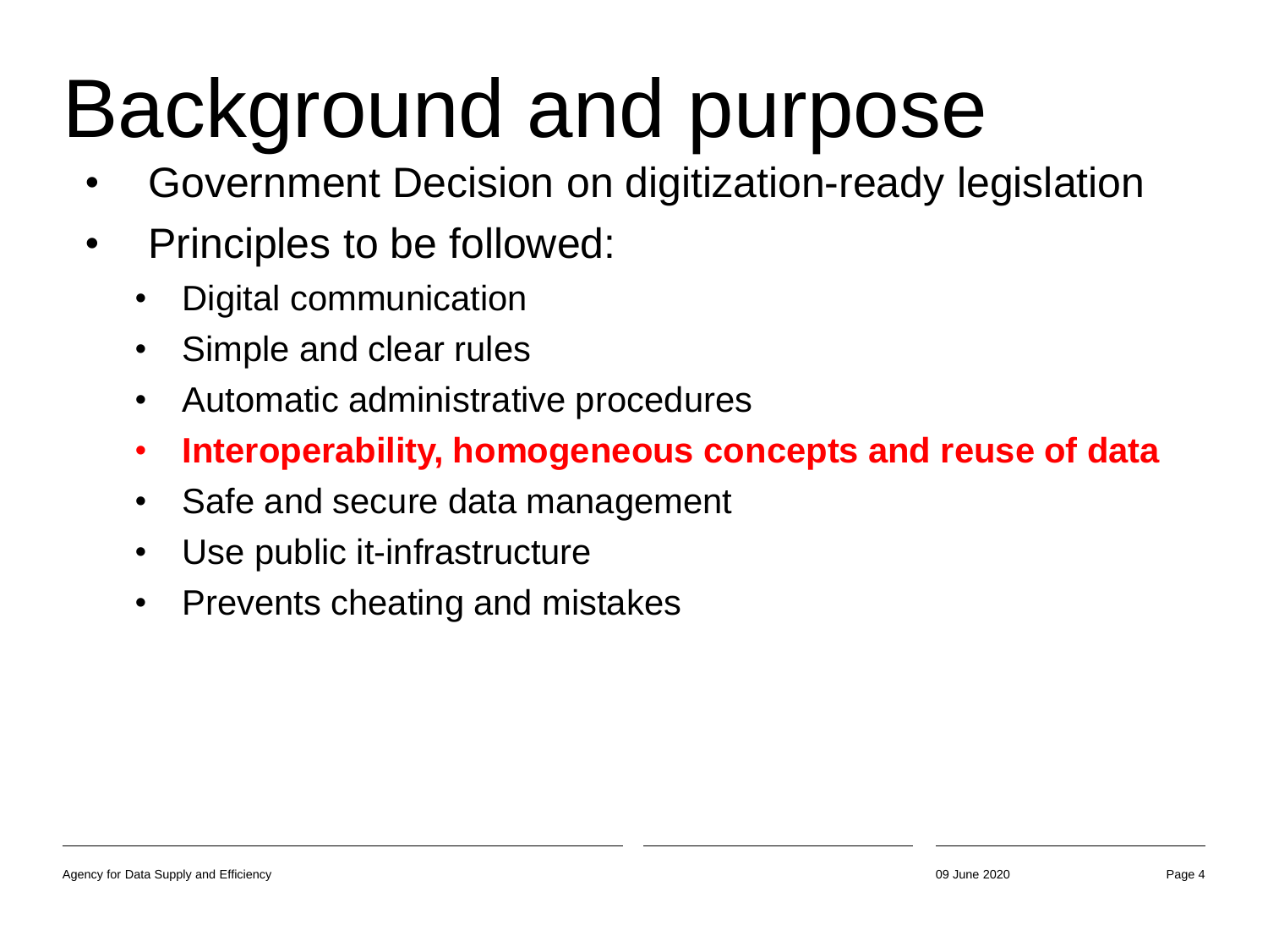#### Background and purpose

- Government Decision on digitization-ready legislation
- Principles to be followed:
	- Digital communication
	- Simple and clear rules
	- Automatic administrative procedures
	- **Interoperability, homogeneous concepts and reuse of data**
	- Safe and secure data management
	- Use public it-infrastructure
	- Prevents cheating and mistakes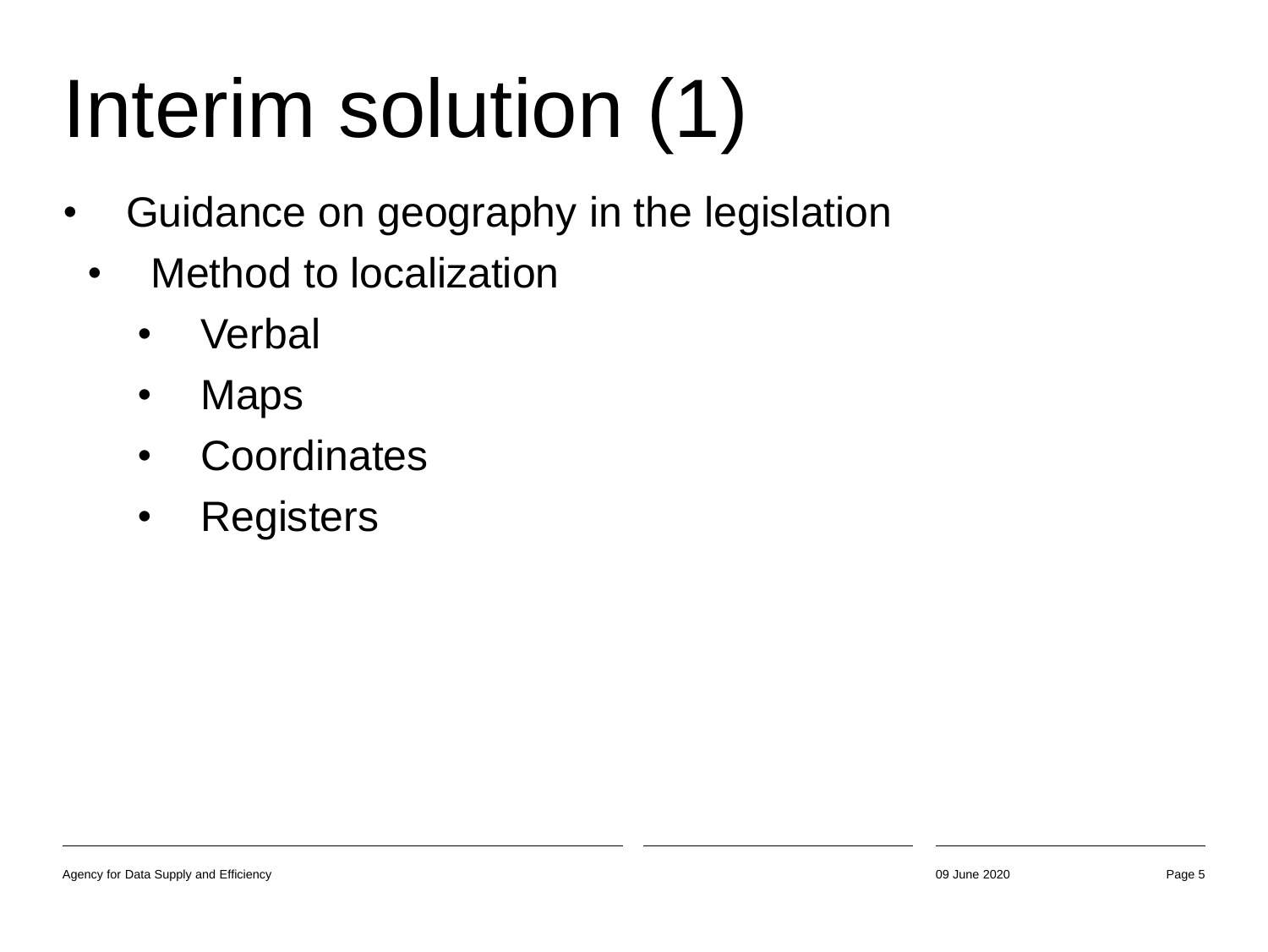# Interim solution (1)

- Guidance on geography in the legislation
	- Method to localization
		- Verbal
		- Maps
		- Coordinates
		- Registers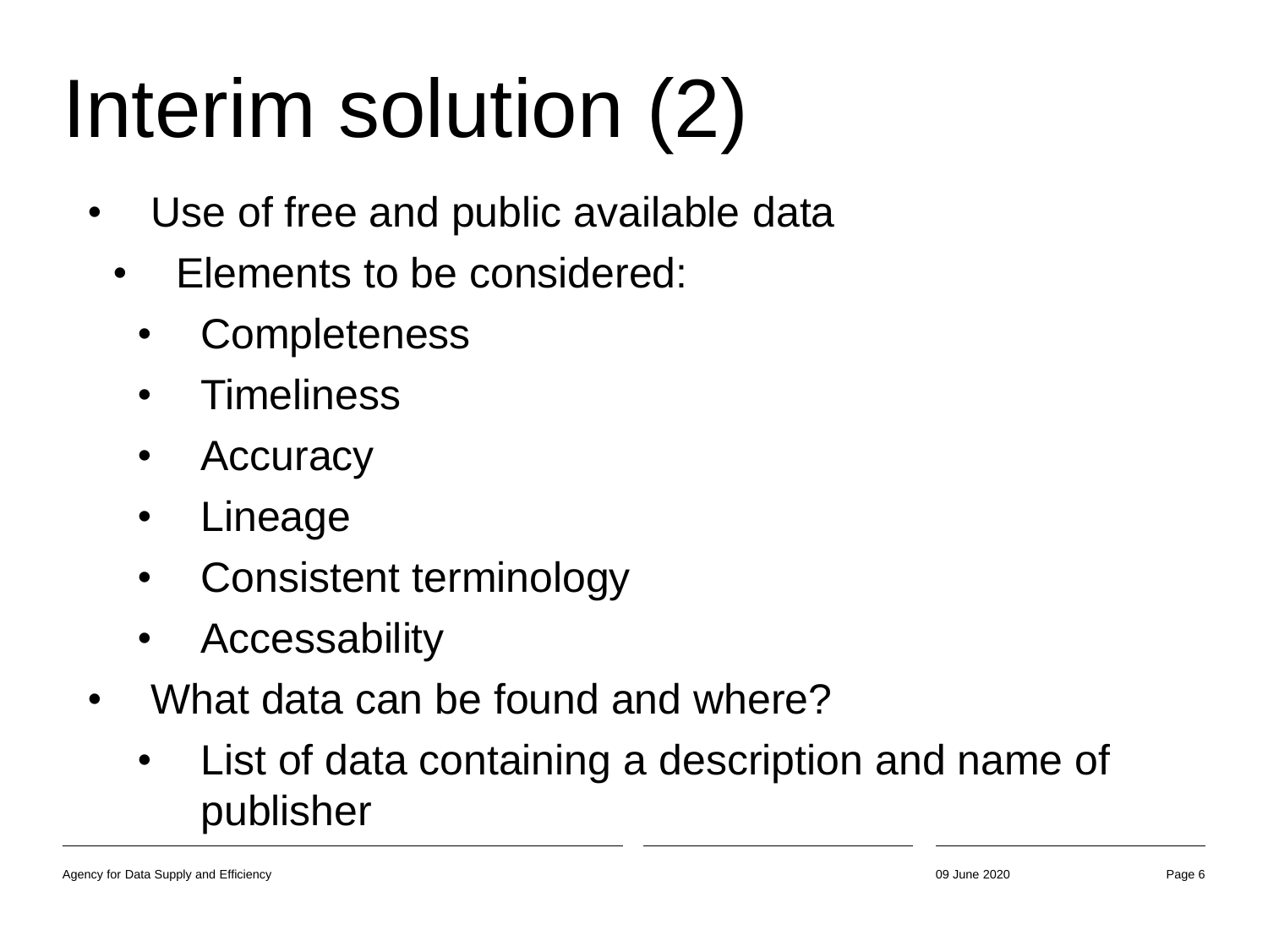# Interim solution (2)

- Use of free and public available data
	- Elements to be considered:
		- **Completeness**
		- Timeliness
		- Accuracy
		- Lineage
		- Consistent terminology
		- Accessability
- What data can be found and where?
	- List of data containing a description and name of publisher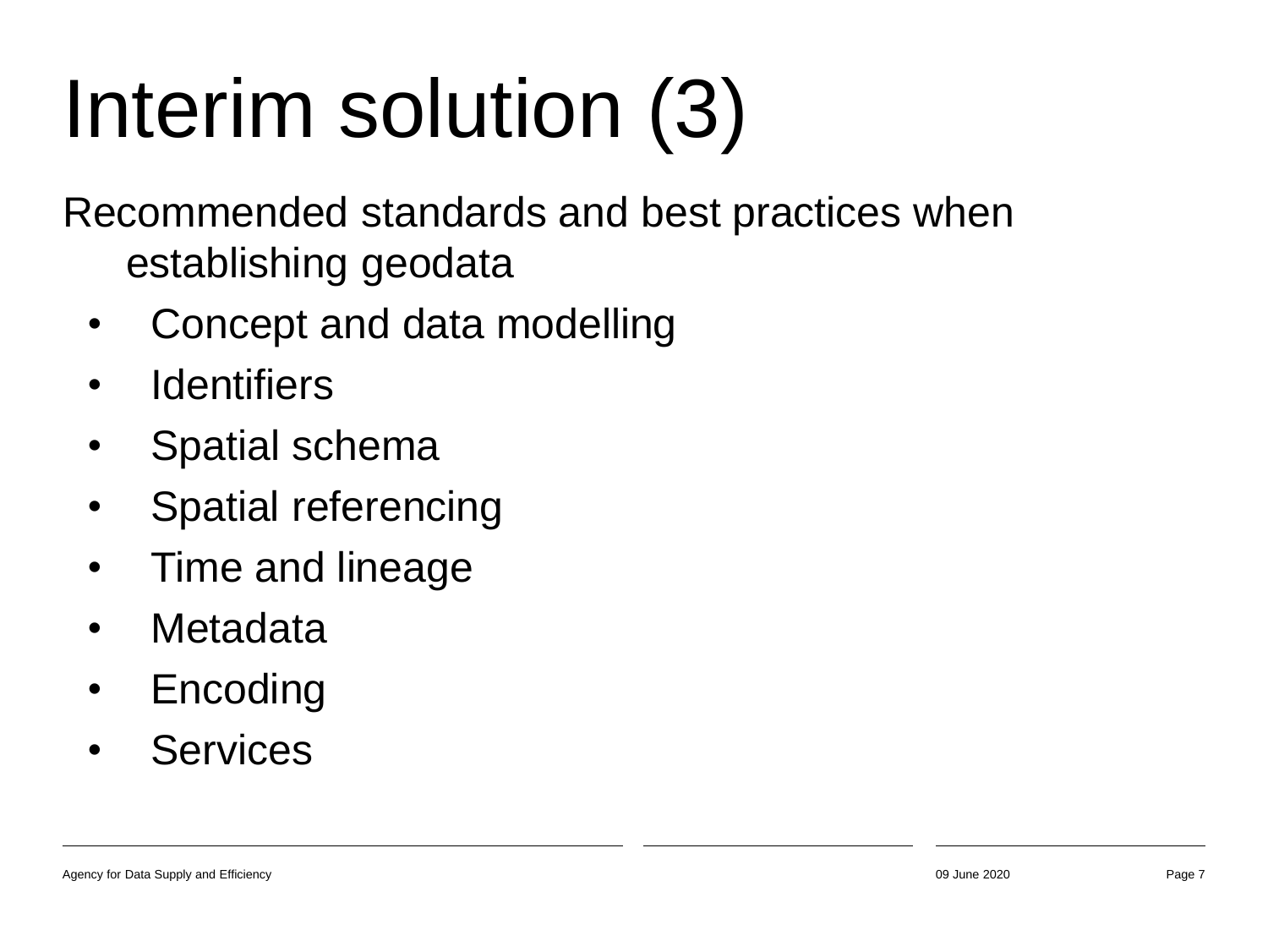## Interim solution (3)

Recommended standards and best practices when establishing geodata

- Concept and data modelling
- Identifiers
- Spatial schema
- Spatial referencing
- Time and lineage
- Metadata
- Encoding
- Services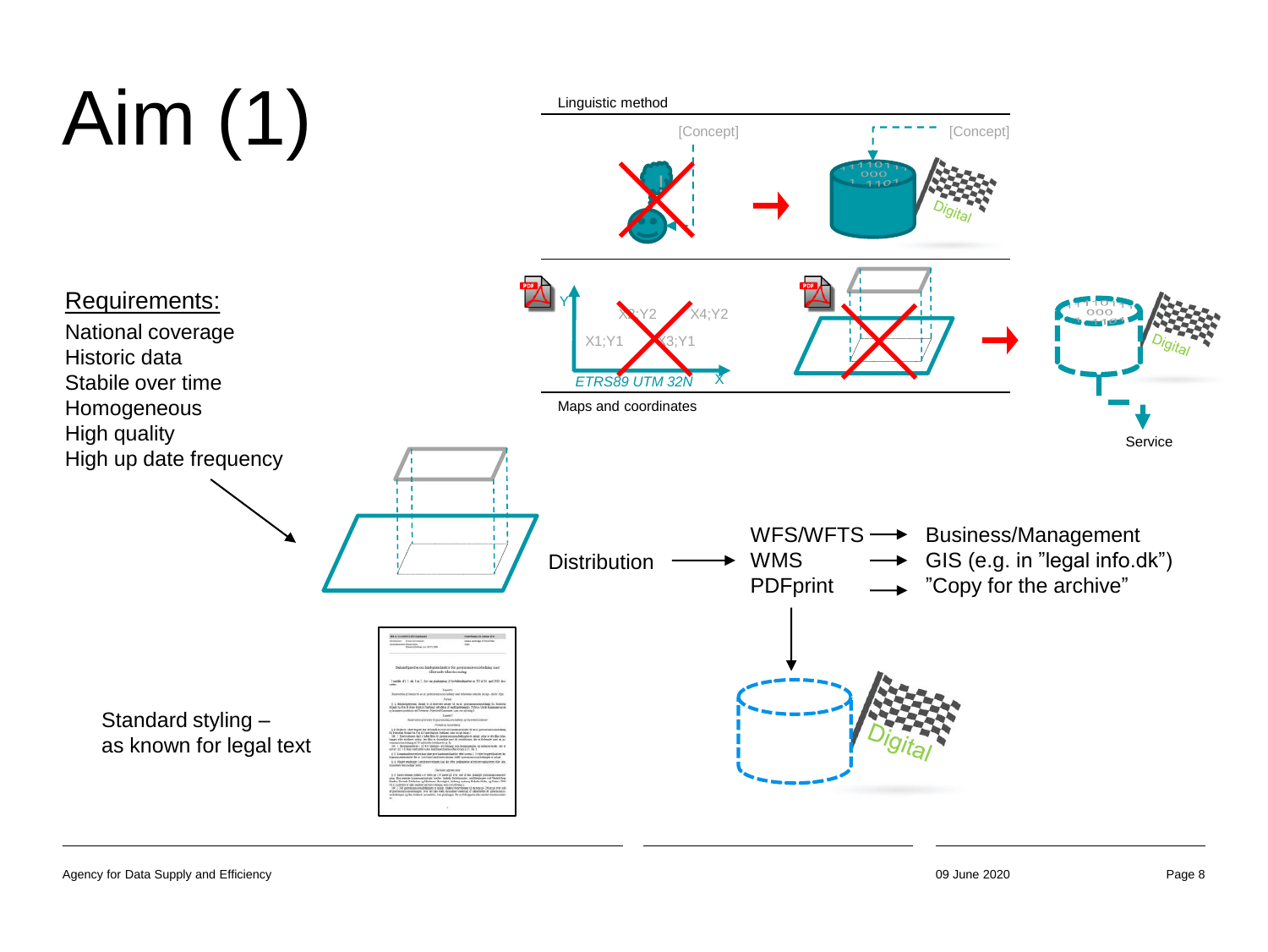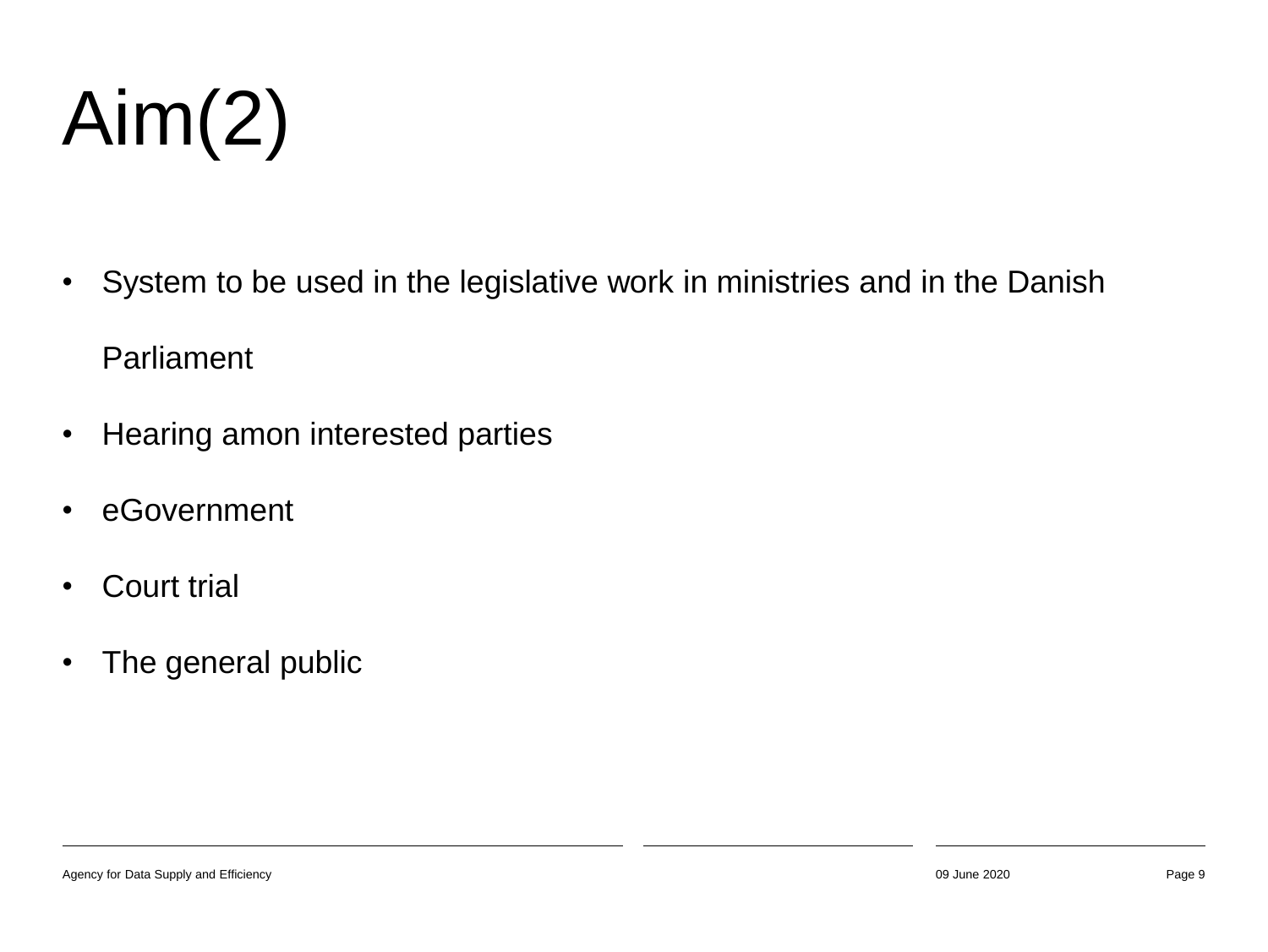#### Aim(2)

- System to be used in the legislative work in ministries and in the Danish Parliament
- Hearing amon interested parties
- eGovernment
- **Court trial**
- The general public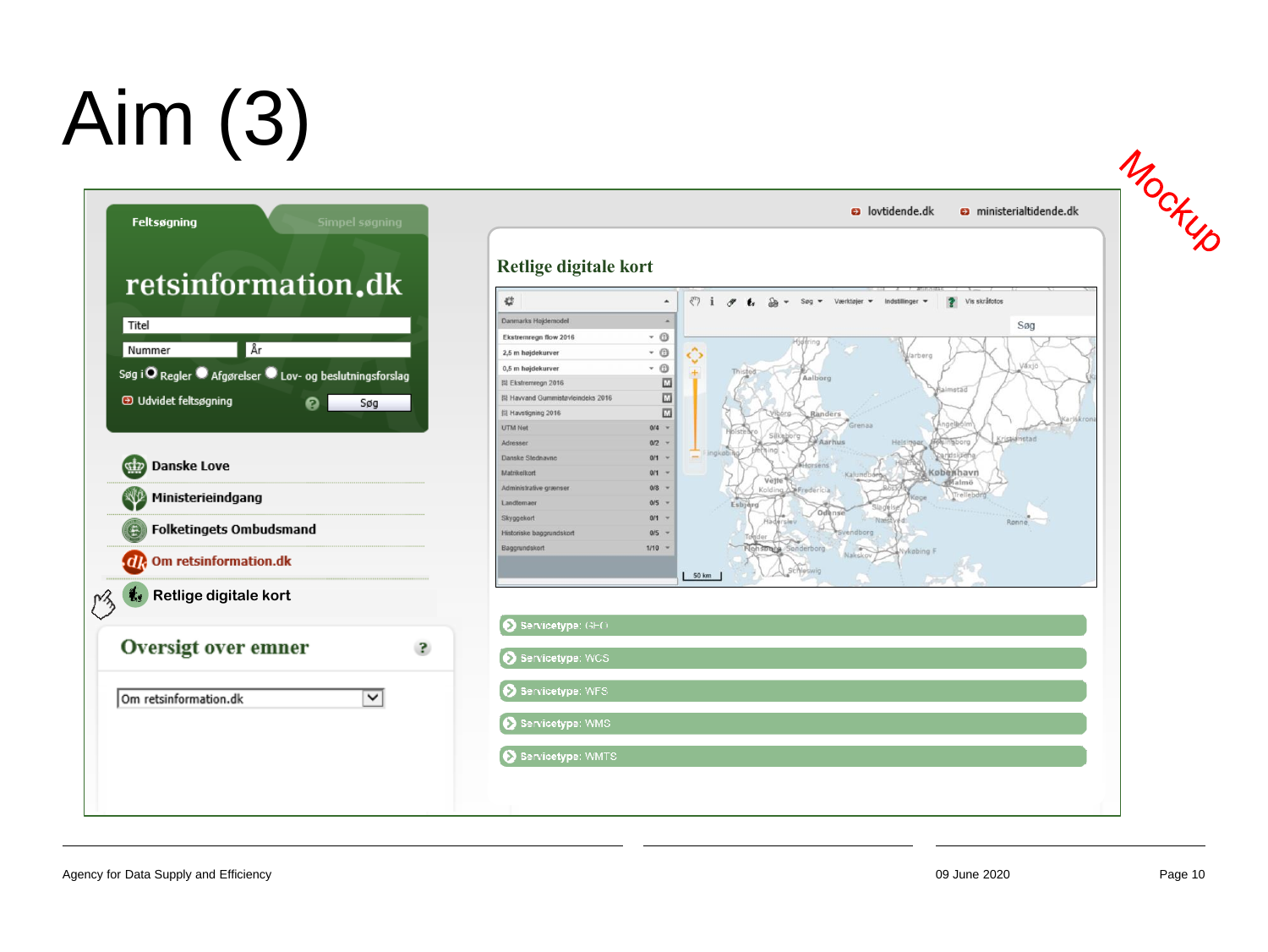#### Aim (3)





a lovtidende.dk **a** ministerialtidende.dk